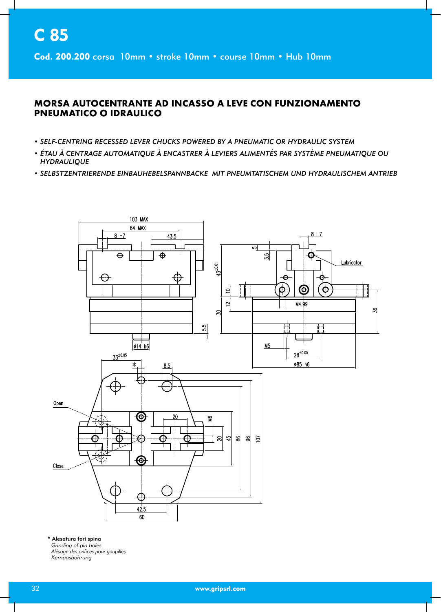Cod. 200.200 corsa 10mm · stroke 10mm · course 10mm · Hub 10mm

## **MORSA AUTOCENTRANTE AD INCASSO A LEVE CON FUNZIONAMENTO PNEUMATICO O IDRAULICO**

- SELF-CENTRING RECESSED LEVER CHUCKS POWERED BY A PNEUMATIC OR HYDRAULIC SYSTEM
- ÉTAU À CENTRAGE AUTOMATIQUE À ENCASTRER À LEVIERS ALIMENTÉS PAR SYSTÈME PNEUMATIQUE OU **HYDRAULIQUE**
- SELBSTZENTRIERENDE EINBAUHEBELSPANNBACKE MIT PNEUMTATISCHEM UND HYDRAULISCHEM ANTRIEB



\* Alesatura fori spina Grinding of pin holes Alésage des orifices pour goupilles Kernausbohrung